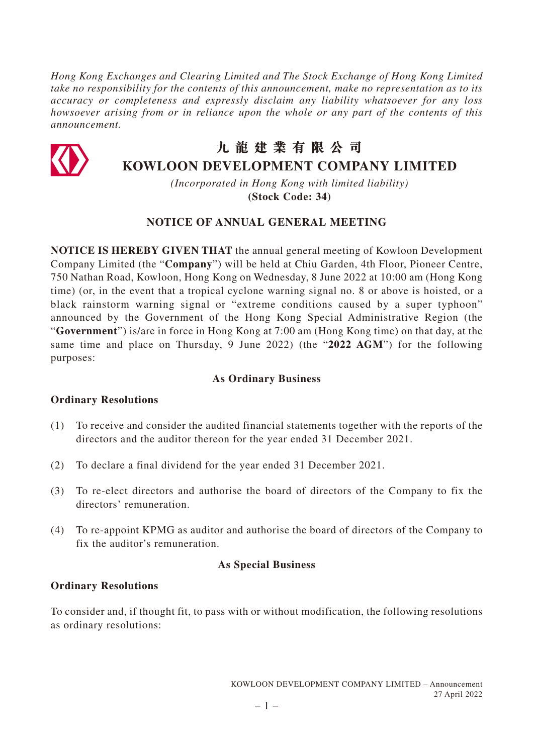*Hong Kong Exchanges and Clearing Limited and The Stock Exchange of Hong Kong Limited take no responsibility for the contents of this announcement, make no representation as to its accuracy or completeness and expressly disclaim any liability whatsoever for any loss howsoever arising from or in reliance upon the whole or any part of the contents of this announcement.*



# **九龍建業有限公司 KOWLOON DEVELOPMENT COMPANY LIMITED**

*(Incorporated in Hong Kong with limited liability)* **(Stock Code: 34)**

# **NOTICE OF ANNUAL GENERAL MEETING**

**NOTICE IS HEREBY GIVEN THAT** the annual general meeting of Kowloon Development Company Limited (the "**Company**") will be held at Chiu Garden, 4th Floor, Pioneer Centre, 750 Nathan Road, Kowloon, Hong Kong on Wednesday, 8 June 2022 at 10:00 am (Hong Kong time) (or, in the event that a tropical cyclone warning signal no. 8 or above is hoisted, or a black rainstorm warning signal or "extreme conditions caused by a super typhoon" announced by the Government of the Hong Kong Special Administrative Region (the "**Government**") is/are in force in Hong Kong at 7:00 am (Hong Kong time) on that day, at the same time and place on Thursday, 9 June 2022) (the "**2022 AGM**") for the following purposes:

## **As Ordinary Business**

## **Ordinary Resolutions**

- (1) To receive and consider the audited financial statements together with the reports of the directors and the auditor thereon for the year ended 31 December 2021.
- (2) To declare a final dividend for the year ended 31 December 2021.
- (3) To re-elect directors and authorise the board of directors of the Company to fix the directors' remuneration.
- (4) To re-appoint KPMG as auditor and authorise the board of directors of the Company to fix the auditor's remuneration.

## **As Special Business**

## **Ordinary Resolutions**

To consider and, if thought fit, to pass with or without modification, the following resolutions as ordinary resolutions: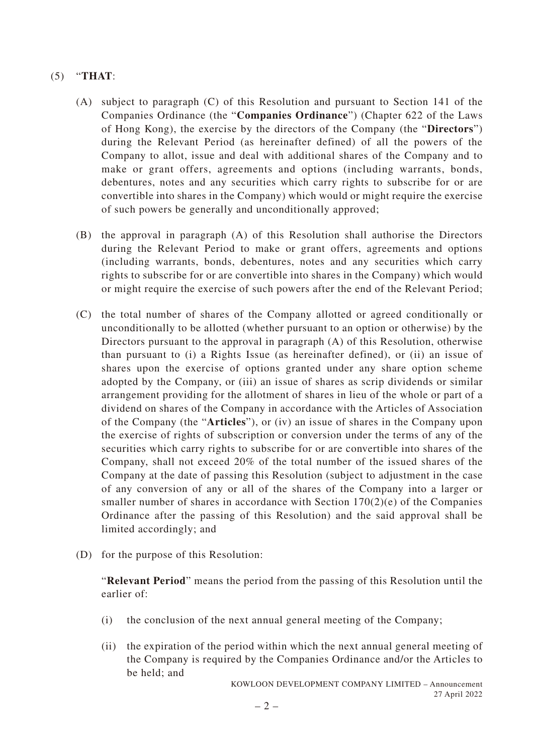## (5) "**THAT**:

- (A) subject to paragraph (C) of this Resolution and pursuant to Section 141 of the Companies Ordinance (the "**Companies Ordinance**") (Chapter 622 of the Laws of Hong Kong), the exercise by the directors of the Company (the "**Directors**") during the Relevant Period (as hereinafter defined) of all the powers of the Company to allot, issue and deal with additional shares of the Company and to make or grant offers, agreements and options (including warrants, bonds, debentures, notes and any securities which carry rights to subscribe for or are convertible into shares in the Company) which would or might require the exercise of such powers be generally and unconditionally approved;
- (B) the approval in paragraph (A) of this Resolution shall authorise the Directors during the Relevant Period to make or grant offers, agreements and options (including warrants, bonds, debentures, notes and any securities which carry rights to subscribe for or are convertible into shares in the Company) which would or might require the exercise of such powers after the end of the Relevant Period;
- (C) the total number of shares of the Company allotted or agreed conditionally or unconditionally to be allotted (whether pursuant to an option or otherwise) by the Directors pursuant to the approval in paragraph (A) of this Resolution, otherwise than pursuant to (i) a Rights Issue (as hereinafter defined), or (ii) an issue of shares upon the exercise of options granted under any share option scheme adopted by the Company, or (iii) an issue of shares as scrip dividends or similar arrangement providing for the allotment of shares in lieu of the whole or part of a dividend on shares of the Company in accordance with the Articles of Association of the Company (the "**Articles**"), or (iv) an issue of shares in the Company upon the exercise of rights of subscription or conversion under the terms of any of the securities which carry rights to subscribe for or are convertible into shares of the Company, shall not exceed 20% of the total number of the issued shares of the Company at the date of passing this Resolution (subject to adjustment in the case of any conversion of any or all of the shares of the Company into a larger or smaller number of shares in accordance with Section  $170(2)(e)$  of the Companies Ordinance after the passing of this Resolution) and the said approval shall be limited accordingly; and
- (D) for the purpose of this Resolution:

"**Relevant Period**" means the period from the passing of this Resolution until the earlier of:

- (i) the conclusion of the next annual general meeting of the Company;
- (ii) the expiration of the period within which the next annual general meeting of the Company is required by the Companies Ordinance and/or the Articles to be held; and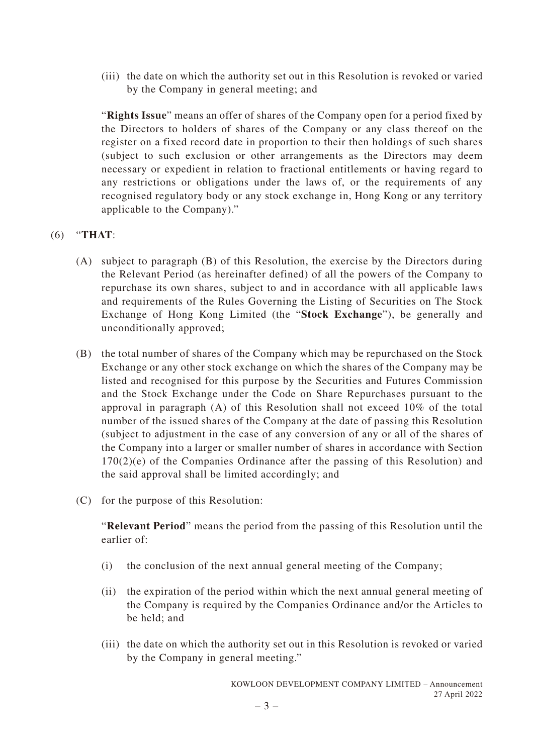(iii) the date on which the authority set out in this Resolution is revoked or varied by the Company in general meeting; and

"**Rights Issue**" means an offer of shares of the Company open for a period fixed by the Directors to holders of shares of the Company or any class thereof on the register on a fixed record date in proportion to their then holdings of such shares (subject to such exclusion or other arrangements as the Directors may deem necessary or expedient in relation to fractional entitlements or having regard to any restrictions or obligations under the laws of, or the requirements of any recognised regulatory body or any stock exchange in, Hong Kong or any territory applicable to the Company)."

(6) "**THAT**:

- (A) subject to paragraph (B) of this Resolution, the exercise by the Directors during the Relevant Period (as hereinafter defined) of all the powers of the Company to repurchase its own shares, subject to and in accordance with all applicable laws and requirements of the Rules Governing the Listing of Securities on The Stock Exchange of Hong Kong Limited (the "**Stock Exchange**"), be generally and unconditionally approved;
- (B) the total number of shares of the Company which may be repurchased on the Stock Exchange or any other stock exchange on which the shares of the Company may be listed and recognised for this purpose by the Securities and Futures Commission and the Stock Exchange under the Code on Share Repurchases pursuant to the approval in paragraph (A) of this Resolution shall not exceed 10% of the total number of the issued shares of the Company at the date of passing this Resolution (subject to adjustment in the case of any conversion of any or all of the shares of the Company into a larger or smaller number of shares in accordance with Section 170(2)(e) of the Companies Ordinance after the passing of this Resolution) and the said approval shall be limited accordingly; and
- (C) for the purpose of this Resolution:

"**Relevant Period**" means the period from the passing of this Resolution until the earlier of:

- (i) the conclusion of the next annual general meeting of the Company;
- (ii) the expiration of the period within which the next annual general meeting of the Company is required by the Companies Ordinance and/or the Articles to be held; and
- (iii) the date on which the authority set out in this Resolution is revoked or varied by the Company in general meeting."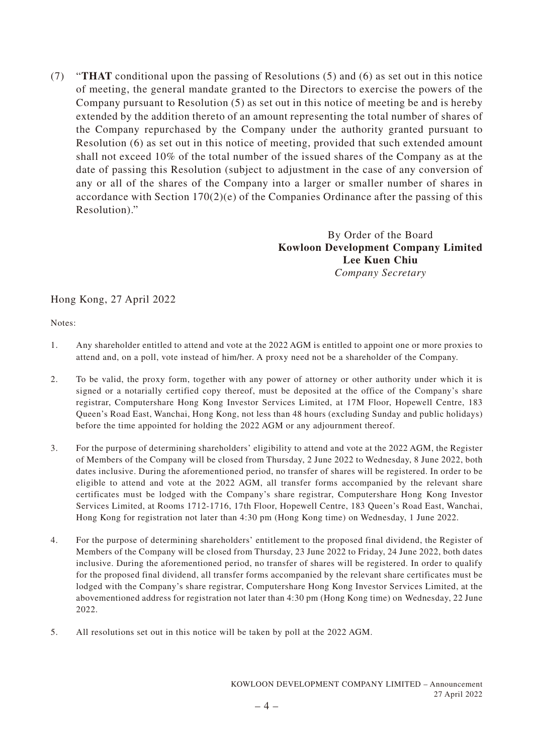(7) "**THAT** conditional upon the passing of Resolutions (5) and (6) as set out in this notice of meeting, the general mandate granted to the Directors to exercise the powers of the Company pursuant to Resolution (5) as set out in this notice of meeting be and is hereby extended by the addition thereto of an amount representing the total number of shares of the Company repurchased by the Company under the authority granted pursuant to Resolution (6) as set out in this notice of meeting, provided that such extended amount shall not exceed 10% of the total number of the issued shares of the Company as at the date of passing this Resolution (subject to adjustment in the case of any conversion of any or all of the shares of the Company into a larger or smaller number of shares in accordance with Section 170(2)(e) of the Companies Ordinance after the passing of this Resolution)."

> By Order of the Board **Kowloon Development Company Limited Lee Kuen Chiu** *Company Secretary*

#### Hong Kong, 27 April 2022

Notes:

- 1. Any shareholder entitled to attend and vote at the 2022 AGM is entitled to appoint one or more proxies to attend and, on a poll, vote instead of him/her. A proxy need not be a shareholder of the Company.
- 2. To be valid, the proxy form, together with any power of attorney or other authority under which it is signed or a notarially certified copy thereof, must be deposited at the office of the Company's share registrar, Computershare Hong Kong Investor Services Limited, at 17M Floor, Hopewell Centre, 183 Queen's Road East, Wanchai, Hong Kong, not less than 48 hours (excluding Sunday and public holidays) before the time appointed for holding the 2022 AGM or any adjournment thereof.
- 3. For the purpose of determining shareholders' eligibility to attend and vote at the 2022 AGM, the Register of Members of the Company will be closed from Thursday, 2 June 2022 to Wednesday, 8 June 2022, both dates inclusive. During the aforementioned period, no transfer of shares will be registered. In order to be eligible to attend and vote at the 2022 AGM, all transfer forms accompanied by the relevant share certificates must be lodged with the Company's share registrar, Computershare Hong Kong Investor Services Limited, at Rooms 1712-1716, 17th Floor, Hopewell Centre, 183 Queen's Road East, Wanchai, Hong Kong for registration not later than 4:30 pm (Hong Kong time) on Wednesday, 1 June 2022.
- 4. For the purpose of determining shareholders' entitlement to the proposed final dividend, the Register of Members of the Company will be closed from Thursday, 23 June 2022 to Friday, 24 June 2022, both dates inclusive. During the aforementioned period, no transfer of shares will be registered. In order to qualify for the proposed final dividend, all transfer forms accompanied by the relevant share certificates must be lodged with the Company's share registrar, Computershare Hong Kong Investor Services Limited, at the abovementioned address for registration not later than 4:30 pm (Hong Kong time) on Wednesday, 22 June 2022.
- 5. All resolutions set out in this notice will be taken by poll at the 2022 AGM.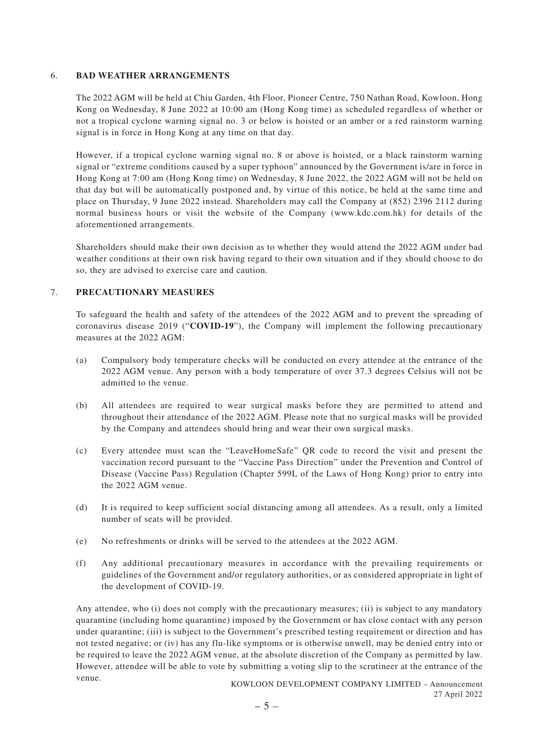#### 6. **BAD WEATHER ARRANGEMENTS**

The 2022 AGM will be held at Chiu Garden, 4th Floor, Pioneer Centre, 750 Nathan Road, Kowloon, Hong Kong on Wednesday, 8 June 2022 at 10:00 am (Hong Kong time) as scheduled regardless of whether or not a tropical cyclone warning signal no. 3 or below is hoisted or an amber or a red rainstorm warning signal is in force in Hong Kong at any time on that day.

However, if a tropical cyclone warning signal no. 8 or above is hoisted, or a black rainstorm warning signal or "extreme conditions caused by a super typhoon" announced by the Government is/are in force in Hong Kong at 7:00 am (Hong Kong time) on Wednesday, 8 June 2022, the 2022 AGM will not be held on that day but will be automatically postponed and, by virtue of this notice, be held at the same time and place on Thursday, 9 June 2022 instead. Shareholders may call the Company at (852) 2396 2112 during normal business hours or visit the website of the Company (www.kdc.com.hk) for details of the aforementioned arrangements.

Shareholders should make their own decision as to whether they would attend the 2022 AGM under bad weather conditions at their own risk having regard to their own situation and if they should choose to do so, they are advised to exercise care and caution.

#### 7. **PRECAUTIONARY MEASURES**

To safeguard the health and safety of the attendees of the 2022 AGM and to prevent the spreading of coronavirus disease 2019 ("**COVID-19**"), the Company will implement the following precautionary measures at the 2022 AGM:

- (a) Compulsory body temperature checks will be conducted on every attendee at the entrance of the 2022 AGM venue. Any person with a body temperature of over 37.3 degrees Celsius will not be admitted to the venue.
- (b) All attendees are required to wear surgical masks before they are permitted to attend and throughout their attendance of the 2022 AGM. Please note that no surgical masks will be provided by the Company and attendees should bring and wear their own surgical masks.
- (c) Every attendee must scan the "LeaveHomeSafe" QR code to record the visit and present the vaccination record pursuant to the "Vaccine Pass Direction" under the Prevention and Control of Disease (Vaccine Pass) Regulation (Chapter 599L of the Laws of Hong Kong) prior to entry into the 2022 AGM venue.
- (d) It is required to keep sufficient social distancing among all attendees. As a result, only a limited number of seats will be provided.
- (e) No refreshments or drinks will be served to the attendees at the 2022 AGM.
- (f) Any additional precautionary measures in accordance with the prevailing requirements or guidelines of the Government and/or regulatory authorities, or as considered appropriate in light of the development of COVID-19.

Any attendee, who (i) does not comply with the precautionary measures; (ii) is subject to any mandatory quarantine (including home quarantine) imposed by the Government or has close contact with any person under quarantine; (iii) is subject to the Government's prescribed testing requirement or direction and has not tested negative; or (iv) has any flu-like symptoms or is otherwise unwell, may be denied entry into or be required to leave the 2022 AGM venue, at the absolute discretion of the Company as permitted by law. However, attendee will be able to vote by submitting a voting slip to the scrutineer at the entrance of the venue.